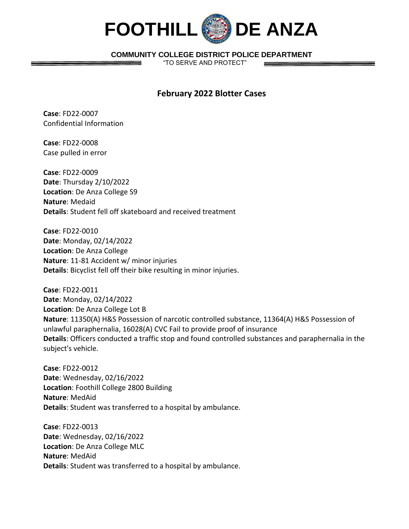

## **COMMUNITY COLLEGE DISTRICT POLICE DEPARTMENT**

"TO SERVE AND PROTECT"

## **February 2022 Blotter Cases**

**Case**: FD22-0007 Confidential Information

**Case**: FD22-0008 Case pulled in error

**Case**: FD22-0009 **Date**: Thursday 2/10/2022 **Location**: De Anza College S9 **Nature**: Medaid **Details**: Student fell off skateboard and received treatment

**Case**: FD22-0010 **Date**: Monday, 02/14/2022 **Location**: De Anza College **Nature**: 11-81 Accident w/ minor injuries **Details**: Bicyclist fell off their bike resulting in minor injuries.

**Case**: FD22-0011 **Date**: Monday, 02/14/2022 **Location**: De Anza College Lot B **Nature**: 11350(A) H&S Possession of narcotic controlled substance, 11364(A) H&S Possession of unlawful paraphernalia, 16028(A) CVC Fail to provide proof of insurance **Details**: Officers conducted a traffic stop and found controlled substances and paraphernalia in the subject's vehicle.

**Case**: FD22-0012 **Date**: Wednesday, 02/16/2022 **Location**: Foothill College 2800 Building **Nature**: MedAid **Details**: Student was transferred to a hospital by ambulance.

**Case**: FD22-0013 **Date**: Wednesday, 02/16/2022 **Location**: De Anza College MLC **Nature**: MedAid **Details**: Student was transferred to a hospital by ambulance.